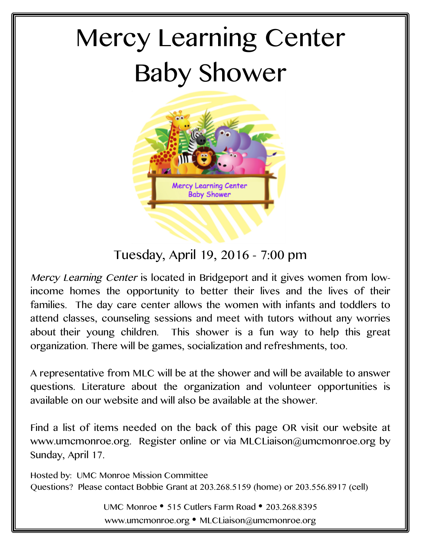# Mercy Learning Center Baby Shower



# Tuesday, April 19, 2016 - 7:00 pm

Mercy Learning Center is located in Bridgeport and it gives women from lowincome homes the opportunity to better their lives and the lives of their families. The day care center allows the women with infants and toddlers to attend classes, counseling sessions and meet with tutors without any worries about their young children. This shower is a fun way to help this great organization. There will be games, socialization and refreshments, too.

A representative from MLC will be at the shower and will be available to answer questions. Literature about the organization and volunteer opportunities is available on our website and will also be available at the shower.

Find a list of items needed on the back of this page OR visit our website at www.umcmonroe.org. Register online or via MLCLiaison@umcmonroe.org by Sunday, April 17.

Hosted by: UMC Monroe Mission Committee Questions? Please contact Bobbie Grant at 203.268.5159 (home) or 203.556.8917 (cell)

> UMC Monroe • 515 Cutlers Farm Road • 203.268.8395 www.umcmonroe.org • MLCLiaison@umcmonroe.org